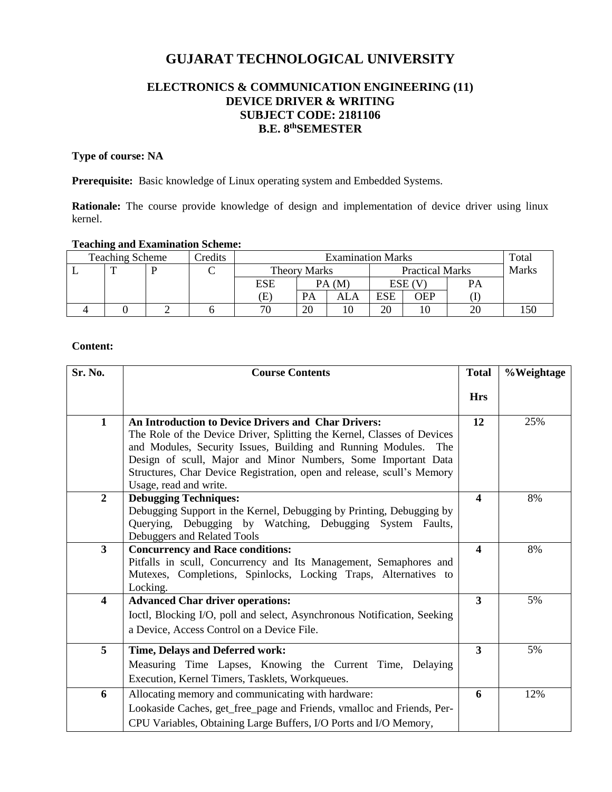# **GUJARAT TECHNOLOGICAL UNIVERSITY**

# **ELECTRONICS & COMMUNICATION ENGINEERING (11) DEVICE DRIVER & WRITING SUBJECT CODE: 2181106 B.E. 8 thSEMESTER**

## **Type of course: NA**

Prerequisite: Basic knowledge of Linux operating system and Embedded Systems.

Rationale: The course provide knowledge of design and implementation of device driver using linux kernel.

### **Teaching and Examination Scheme:**

| <b>Teaching Scheme</b> |  |  | redits | <b>Examination Marks</b> |       |                        |        |     |              | Total |
|------------------------|--|--|--------|--------------------------|-------|------------------------|--------|-----|--------------|-------|
|                        |  |  |        | Theory Marks             |       | <b>Practical Marks</b> |        |     | <b>Marks</b> |       |
|                        |  |  |        | ESE                      | PA(M) |                        | ESE (V |     | PA           |       |
|                        |  |  |        | E)                       | PA    | ALA                    | ESE    | OEP |              |       |
|                        |  |  |        | 70                       | 20    |                        | 20     |     |              | l 50  |

#### **Content:**

| Sr. No.                 | <b>Course Contents</b>                                                                                                                                                                                                                                                                                                                                                        |                  | %Weightage |
|-------------------------|-------------------------------------------------------------------------------------------------------------------------------------------------------------------------------------------------------------------------------------------------------------------------------------------------------------------------------------------------------------------------------|------------------|------------|
|                         |                                                                                                                                                                                                                                                                                                                                                                               | <b>Hrs</b>       |            |
| $\mathbf{1}$            | <b>An Introduction to Device Drivers and Char Drivers:</b><br>The Role of the Device Driver, Splitting the Kernel, Classes of Devices<br>and Modules, Security Issues, Building and Running Modules. The<br>Design of scull, Major and Minor Numbers, Some Important Data<br>Structures, Char Device Registration, open and release, scull's Memory<br>Usage, read and write. | 12               | 25%        |
| $\overline{2}$          | <b>Debugging Techniques:</b><br>Debugging Support in the Kernel, Debugging by Printing, Debugging by<br>Querying, Debugging by Watching, Debugging System Faults,<br>Debuggers and Related Tools                                                                                                                                                                              | 4                | 8%         |
| $\mathbf{3}$            | <b>Concurrency and Race conditions:</b><br>Pitfalls in scull, Concurrency and Its Management, Semaphores and<br>Mutexes, Completions, Spinlocks, Locking Traps, Alternatives to<br>Locking.                                                                                                                                                                                   | $\blacktriangle$ | 8%         |
| $\overline{\mathbf{4}}$ | <b>Advanced Char driver operations:</b><br>Ioctl, Blocking I/O, poll and select, Asynchronous Notification, Seeking<br>a Device, Access Control on a Device File.                                                                                                                                                                                                             | 3                | 5%         |
| 5                       | Time, Delays and Deferred work:<br>Measuring Time Lapses, Knowing the Current Time, Delaying<br>Execution, Kernel Timers, Tasklets, Workqueues.                                                                                                                                                                                                                               | 3                | 5%         |
| 6                       | Allocating memory and communicating with hardware:<br>Lookaside Caches, get_free_page and Friends, vmalloc and Friends, Per-<br>CPU Variables, Obtaining Large Buffers, I/O Ports and I/O Memory,                                                                                                                                                                             | 6                | 12%        |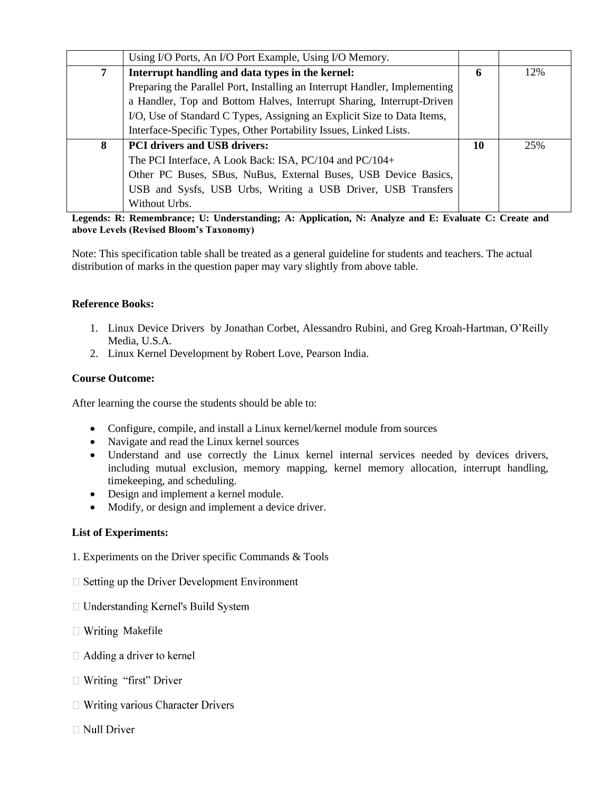|   | Using I/O Ports, An I/O Port Example, Using I/O Memory.                    |    |     |
|---|----------------------------------------------------------------------------|----|-----|
| 7 | Interrupt handling and data types in the kernel:                           | 6  | 12% |
|   | Preparing the Parallel Port, Installing an Interrupt Handler, Implementing |    |     |
|   | a Handler, Top and Bottom Halves, Interrupt Sharing, Interrupt-Driven      |    |     |
|   | I/O, Use of Standard C Types, Assigning an Explicit Size to Data Items,    |    |     |
|   | Interface-Specific Types, Other Portability Issues, Linked Lists.          |    |     |
| 8 | <b>PCI drivers and USB drivers:</b>                                        | 10 | 25% |
|   | The PCI Interface, A Look Back: ISA, PC/104 and PC/104+                    |    |     |
|   | Other PC Buses, SBus, NuBus, External Buses, USB Device Basics,            |    |     |
|   | USB and Sysfs, USB Urbs, Writing a USB Driver, USB Transfers               |    |     |
|   | Without Urbs.                                                              |    |     |

**Legends: R: Remembrance; U: Understanding; A: Application, N: Analyze and E: Evaluate C: Create and above Levels (Revised Bloom's Taxonomy)**

Note: This specification table shall be treated as a general guideline for students and teachers. The actual distribution of marks in the question paper may vary slightly from above table.

#### **Reference Books:**

- 1. Linux Device Drivers by Jonathan Corbet, Alessandro Rubini, and Greg Kroah-Hartman, O'Reilly Media, U.S.A.
- 2. Linux Kernel Development by Robert Love, Pearson India.

#### **Course Outcome:**

After learning the course the students should be able to:

- Configure, compile, and install a Linux kernel/kernel module from sources
- Navigate and read the Linux kernel sources
- Understand and use correctly the Linux kernel internal services needed by devices drivers, including mutual exclusion, memory mapping, kernel memory allocation, interrupt handling, timekeeping, and scheduling.
- Design and implement a kernel module.
- Modify, or design and implement a device driver.

#### **List of Experiments:**

- 1. Experiments on the Driver specific Commands & Tools
- $\Box$  Setting up the Driver Development Environment
- □ Understanding Kernel's Build System
- $\Box$  Writing Makefile
- $\Box$  Adding a driver to kernel
- $\Box$  Writing "first" Driver
- $\Box$  Writing various Character Drivers
- $\Box$  Null Driver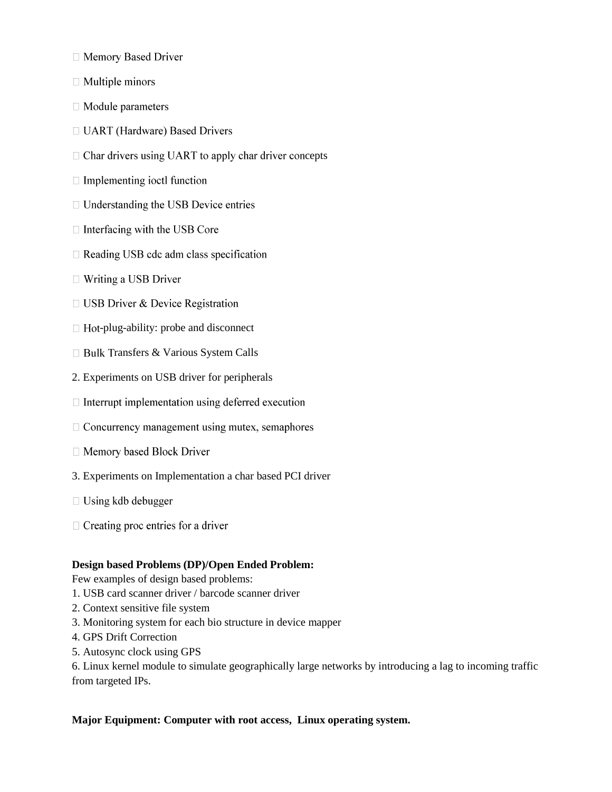- □ Memory Based Driver
- $\Box$  Multiple minors
- □ Module parameters
- □ UART (Hardware) Based Drivers
- $\Box$  Char drivers using UART to apply char driver concepts
- $\Box$  Implementing ioctl function
- $\Box$  Understanding the USB Device entries
- $\Box$  Interfacing with the USB Core
- $\Box$  Reading USB cdc adm class specification
- $\Box$  Writing a USB Driver
- $\Box$  USB Driver & Device Registration
- $\Box$  Hot-plug-ability: probe and disconnect
- □ Bulk Transfers & Various System Calls
- 2. Experiments on USB driver for peripherals
- $\Box$  Interrupt implementation using deferred execution
- $\Box$  Concurrency management using mutex, semaphores
- □ Memory based Block Driver
- 3. Experiments on Implementation a char based PCI driver
- $\Box$  Using kdb debugger
- $\Box$  Creating proc entries for a driver

#### **Design based Problems (DP)/Open Ended Problem:**

Few examples of design based problems:

- 1. USB card scanner driver / barcode scanner driver
- 2. Context sensitive file system
- 3. Monitoring system for each bio structure in device mapper
- 4. GPS Drift Correction
- 5. Autosync clock using GPS

6. Linux kernel module to simulate geographically large networks by introducing a lag to incoming traffic from targeted IPs.

#### **Major Equipment: Computer with root access, Linux operating system.**